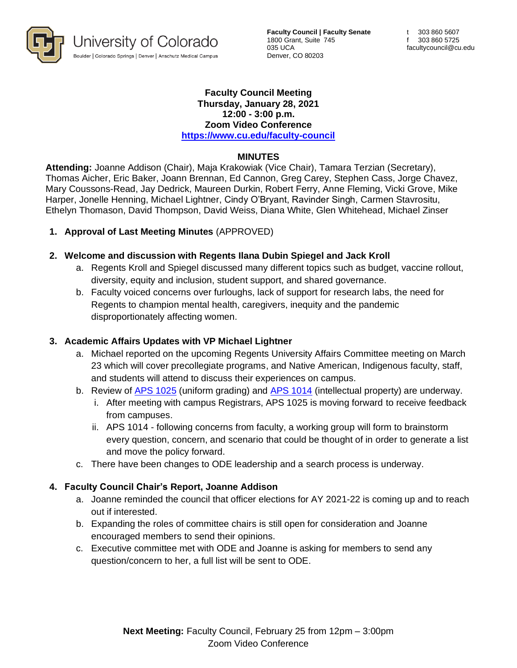

**Faculty Council | Faculty Senate** 1800 Grant, Suite 745 035 UCA Denver, CO 80203

#### **Faculty Council Meeting Thursday, January 28, 2021 12:00 - 3:00 p.m. Zoom Video Conference <https://www.cu.edu/faculty-council>**

#### **MINUTES**

**Attending:** Joanne Addison (Chair), Maja Krakowiak (Vice Chair), Tamara Terzian (Secretary), Thomas Aicher, Eric Baker, Joann Brennan, Ed Cannon, Greg Carey, Stephen Cass, Jorge Chavez, Mary Coussons-Read, Jay Dedrick, Maureen Durkin, Robert Ferry, Anne Fleming, Vicki Grove, Mike Harper, Jonelle Henning, Michael Lightner, Cindy O'Bryant, Ravinder Singh, Carmen Stavrositu, Ethelyn Thomason, David Thompson, David Weiss, Diana White, Glen Whitehead, Michael Zinser

### **1. Approval of Last Meeting Minutes** (APPROVED)

### **2. Welcome and discussion with Regents Ilana Dubin Spiegel and Jack Kroll**

- a. Regents Kroll and Spiegel discussed many different topics such as budget, vaccine rollout, diversity, equity and inclusion, student support, and shared governance.
- b. Faculty voiced concerns over furloughs, lack of support for research labs, the need for Regents to champion mental health, caregivers, inequity and the pandemic disproportionately affecting women.

### **3. Academic Affairs Updates with VP Michael Lightner**

- a. Michael reported on the upcoming Regents University Affairs Committee meeting on March 23 which will cover precollegiate programs, and Native American, Indigenous faculty, staff, and students will attend to discuss their experiences on campus.
- b. Review of [APS 1025](https://www.cu.edu/ope/aps/1025) (uniform grading) and [APS 1014](https://www.cu.edu/ope/aps/1014) (intellectual property) are underway.
	- i. After meeting with campus Registrars, APS 1025 is moving forward to receive feedback from campuses.
	- ii. APS 1014 following concerns from faculty, a working group will form to brainstorm every question, concern, and scenario that could be thought of in order to generate a list and move the policy forward.
- c. There have been changes to ODE leadership and a search process is underway.

# **4. Faculty Council Chair's Report, Joanne Addison**

- a. Joanne reminded the council that officer elections for AY 2021-22 is coming up and to reach out if interested.
- b. Expanding the roles of committee chairs is still open for consideration and Joanne encouraged members to send their opinions.
- c. Executive committee met with ODE and Joanne is asking for members to send any question/concern to her, a full list will be sent to ODE.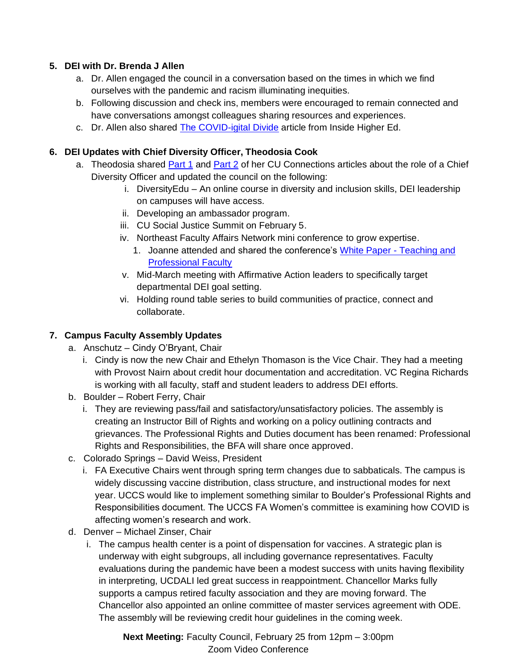### **5. DEI with Dr. Brenda J Allen**

- a. Dr. Allen engaged the council in a conversation based on the times in which we find ourselves with the pandemic and racism illuminating inequities.
- b. Following discussion and check ins, members were encouraged to remain connected and have conversations amongst colleagues sharing resources and experiences.
- c. Dr. Allen also shared [The COVID-igital Divide](https://www.insidehighered.com/digital-learning/blogs/education-time-corona/covid-igital-divide) article from Inside Higher Ed.

### **6. DEI Updates with Chief Diversity Officer, Theodosia Cook**

- a. Theodosia shared [Part 1](https://connections.cu.edu/stories/role-chief-diversity-officer) and [Part 2](https://connections.cu.edu/stories/role-chief-diversity-officer-four-competencies-crucial-successhttps:/connections.cu.edu/stories/role-chief-diversity-officer-four-competencies-crucial-success) of her CU Connections articles about the role of a Chief Diversity Officer and updated the council on the following:
	- i. DiversityEdu An online course in diversity and inclusion skills, DEI leadership on campuses will have access.
	- ii. Developing an ambassador program.
	- iii. CU Social Justice Summit on February 5.
	- iv. Northeast Faculty Affairs Network mini conference to grow expertise.
		- 1. Joanne attended and shared the conference's [White Paper -](https://duvpfa.du.edu/wp-content/uploads/2021/01/TPF-White-Paper-Sponsler-1.8.21-1.pdf) Teaching and [Professional Faculty](https://duvpfa.du.edu/wp-content/uploads/2021/01/TPF-White-Paper-Sponsler-1.8.21-1.pdf)
	- v. Mid-March meeting with Affirmative Action leaders to specifically target departmental DEI goal setting.
	- vi. Holding round table series to build communities of practice, connect and collaborate.

# **7. Campus Faculty Assembly Updates**

- a. Anschutz Cindy O'Bryant, Chair
	- i. Cindy is now the new Chair and Ethelyn Thomason is the Vice Chair. They had a meeting with Provost Nairn about credit hour documentation and accreditation. VC Regina Richards is working with all faculty, staff and student leaders to address DEI efforts.
- b. Boulder Robert Ferry, Chair
	- i. They are reviewing pass/fail and satisfactory/unsatisfactory policies. The assembly is creating an Instructor Bill of Rights and working on a policy outlining contracts and grievances. The Professional Rights and Duties document has been renamed: Professional Rights and Responsibilities, the BFA will share once approved.
- c. Colorado Springs David Weiss, President
	- i. FA Executive Chairs went through spring term changes due to sabbaticals. The campus is widely discussing vaccine distribution, class structure, and instructional modes for next year. UCCS would like to implement something similar to Boulder's Professional Rights and Responsibilities document. The UCCS FA Women's committee is examining how COVID is affecting women's research and work.
- d. Denver Michael Zinser, Chair
	- i. The campus health center is a point of dispensation for vaccines. A strategic plan is underway with eight subgroups, all including governance representatives. Faculty evaluations during the pandemic have been a modest success with units having flexibility in interpreting, UCDALI led great success in reappointment. Chancellor Marks fully supports a campus retired faculty association and they are moving forward. The Chancellor also appointed an online committee of master services agreement with ODE. The assembly will be reviewing credit hour guidelines in the coming week.

**Next Meeting:** Faculty Council, February 25 from 12pm – 3:00pm Zoom Video Conference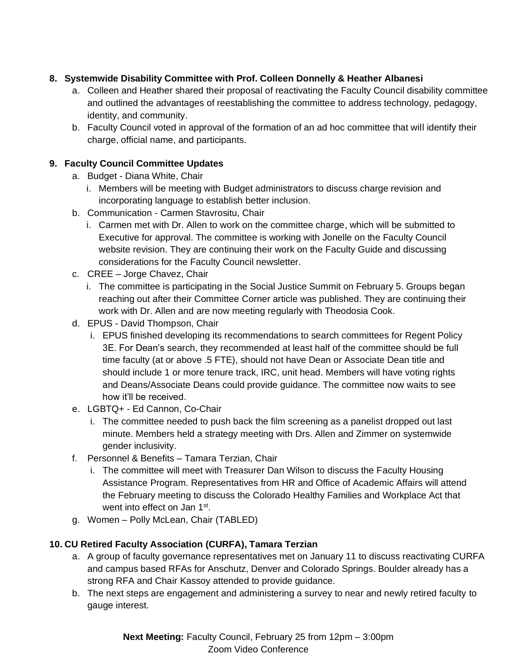# **8. Systemwide Disability Committee with Prof. Colleen Donnelly & Heather Albanesi**

- a. Colleen and Heather shared their proposal of reactivating the Faculty Council disability committee and outlined the advantages of reestablishing the committee to address technology, pedagogy, identity, and community.
- b. Faculty Council voted in approval of the formation of an ad hoc committee that will identify their charge, official name, and participants.

### **9. Faculty Council Committee Updates**

- a. Budget Diana White, Chair
	- i. Members will be meeting with Budget administrators to discuss charge revision and incorporating language to establish better inclusion.
- b. Communication Carmen Stavrositu, Chair
	- i. Carmen met with Dr. Allen to work on the committee charge, which will be submitted to Executive for approval. The committee is working with Jonelle on the Faculty Council website revision. They are continuing their work on the Faculty Guide and discussing considerations for the Faculty Council newsletter.
- c. CREE Jorge Chavez, Chair
	- i. The committee is participating in the Social Justice Summit on February 5. Groups began reaching out after their Committee Corner article was published. They are continuing their work with Dr. Allen and are now meeting regularly with Theodosia Cook.
- d. EPUS David Thompson, Chair
	- i. EPUS finished developing its recommendations to search committees for Regent Policy 3E. For Dean's search, they recommended at least half of the committee should be full time faculty (at or above .5 FTE), should not have Dean or Associate Dean title and should include 1 or more tenure track, IRC, unit head. Members will have voting rights and Deans/Associate Deans could provide guidance. The committee now waits to see how it'll be received.
- e. LGBTQ+ Ed Cannon, Co-Chair
	- i. The committee needed to push back the film screening as a panelist dropped out last minute. Members held a strategy meeting with Drs. Allen and Zimmer on systemwide gender inclusivity.
- f. Personnel & Benefits Tamara Terzian, Chair
	- i. The committee will meet with Treasurer Dan Wilson to discuss the Faculty Housing Assistance Program. Representatives from HR and Office of Academic Affairs will attend the February meeting to discuss the Colorado Healthy Families and Workplace Act that went into effect on Jan 1<sup>st</sup>.
- g. Women Polly McLean, Chair (TABLED)

### **10. CU Retired Faculty Association (CURFA), Tamara Terzian**

- a. A group of faculty governance representatives met on January 11 to discuss reactivating CURFA and campus based RFAs for Anschutz, Denver and Colorado Springs. Boulder already has a strong RFA and Chair Kassoy attended to provide guidance.
- b. The next steps are engagement and administering a survey to near and newly retired faculty to gauge interest.